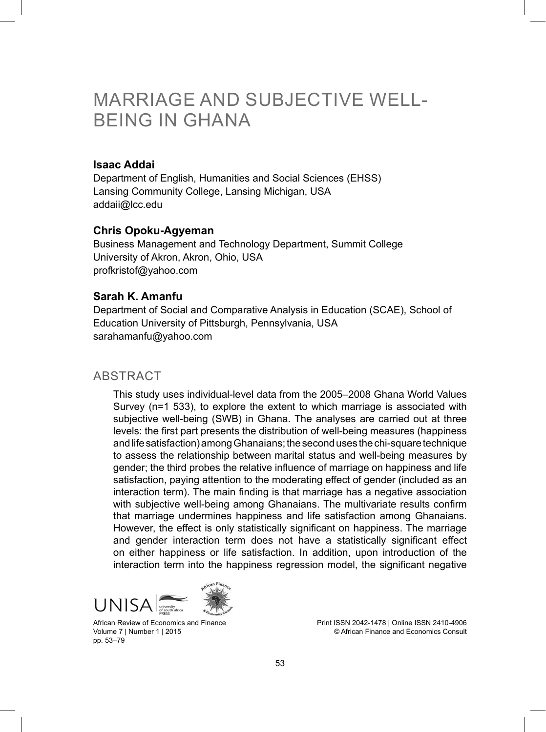# MARRIAGE AND SUBJECTIVE WELL-BEING IN GHANA

#### **Isaac Addai**

Department of English, Humanities and Social Sciences (EHSS) Lansing Community College, Lansing Michigan, USA addaii@lcc.edu

#### **Chris Opoku-Agyeman**

Business Management and Technology Department, Summit College University of Akron, Akron, Ohio, USA profkristof@yahoo.com

#### **Sarah K. Amanfu**

Department of Social and Comparative Analysis in Education (SCAE), School of Education University of Pittsburgh, Pennsylvania, USA sarahamanfu@yahoo.com

#### **ABSTRACT**

This study uses individual-level data from the 2005–2008 Ghana World Values Survey (n=1 533), to explore the extent to which marriage is associated with subjective well-being (SWB) in Ghana. The analyses are carried out at three levels: the first part presents the distribution of well-being measures (happiness and life satisfaction) among Ghanaians; the second uses the chi-square technique to assess the relationship between marital status and well-being measures by gender; the third probes the relative influence of marriage on happiness and life satisfaction, paying attention to the moderating effect of gender (included as an interaction term). The main finding is that marriage has a negative association with subjective well-being among Ghanaians. The multivariate results confirm that marriage undermines happiness and life satisfaction among Ghanaians. However, the effect is only statistically significant on happiness. The marriage and gender interaction term does not have a statistically significant effect on either happiness or life satisfaction. In addition, upon introduction of the interaction term into the happiness regression model, the significant negative



African Review of Economics and Finance Volume 7 | Number 1 | 2015 pp. 53–79

Print ISSN 2042-1478 | Online ISSN 2410-4906 © African Finance and Economics Consult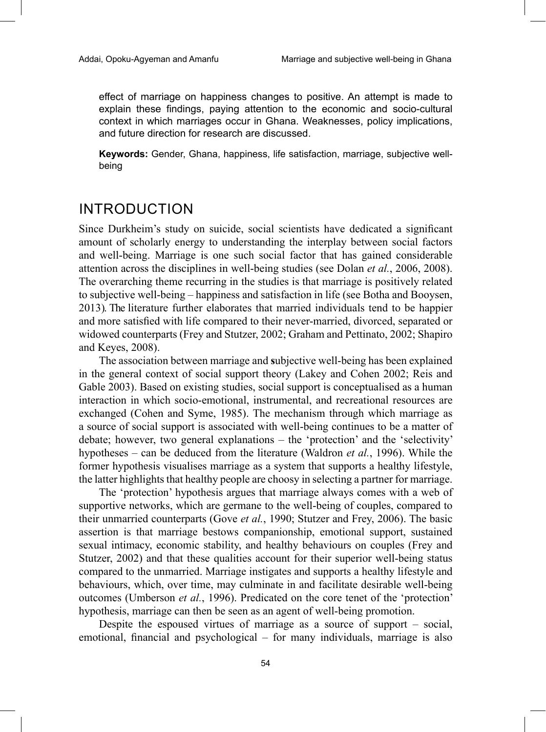effect of marriage on happiness changes to positive. An attempt is made to explain these findings, paying attention to the economic and socio-cultural context in which marriages occur in Ghana. Weaknesses, policy implications, and future direction for research are discussed.

**Keywords:** Gender, Ghana, happiness, life satisfaction, marriage, subjective wellbeing

## INTRODUCTION

Since Durkheim's study on suicide, social scientists have dedicated a significant amount of scholarly energy to understanding the interplay between social factors and well-being. Marriage is one such social factor that has gained considerable attention across the disciplines in well-being studies (see Dolan *et al.*, 2006, 2008). The overarching theme recurring in the studies is that marriage is positively related to subjective well-being – happiness and satisfaction in life (see Botha and Booysen, 2013). The literature further elaborates that married individuals tend to be happier and more satisfied with life compared to their never-married, divorced, separated or widowed counterparts (Frey and Stutzer, 2002; Graham and Pettinato, 2002; Shapiro and Keyes, 2008).

The association between marriage and **s**ubjective well-being has been explained in the general context of social support theory (Lakey and Cohen 2002; Reis and Gable 2003). Based on existing studies, social support is conceptualised as a human interaction in which socio-emotional, instrumental, and recreational resources are exchanged (Cohen and Syme, 1985). The mechanism through which marriage as a source of social support is associated with well-being continues to be a matter of debate; however, two general explanations – the 'protection' and the 'selectivity' hypotheses – can be deduced from the literature (Waldron *et al.*, 1996). While the former hypothesis visualises marriage as a system that supports a healthy lifestyle, the latter highlights that healthy people are choosy in selecting a partner for marriage.

The 'protection' hypothesis argues that marriage always comes with a web of supportive networks, which are germane to the well-being of couples, compared to their unmarried counterparts (Gove *et al.*, 1990; Stutzer and Frey, 2006). The basic assertion is that marriage bestows companionship, emotional support, sustained sexual intimacy, economic stability, and healthy behaviours on couples (Frey and Stutzer, 2002) and that these qualities account for their superior well-being status compared to the unmarried. Marriage instigates and supports a healthy lifestyle and behaviours, which, over time, may culminate in and facilitate desirable well-being outcomes (Umberson *et al.*, 1996). Predicated on the core tenet of the 'protection' hypothesis, marriage can then be seen as an agent of well-being promotion.

Despite the espoused virtues of marriage as a source of support – social, emotional, financial and psychological – for many individuals, marriage is also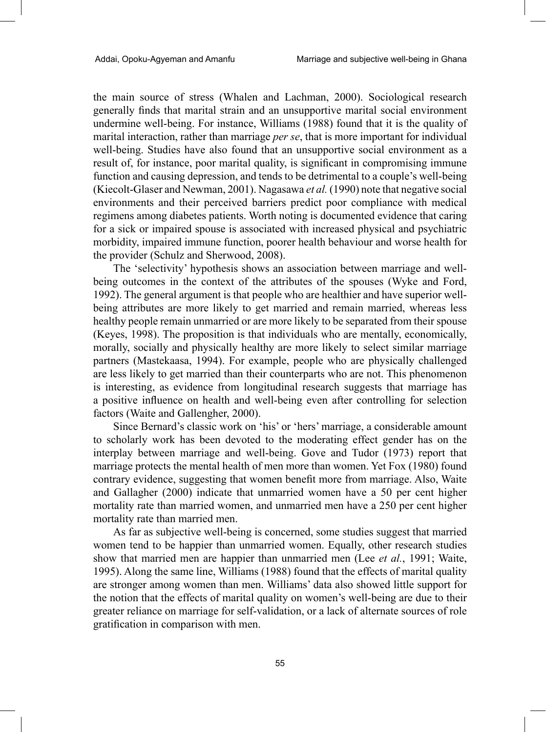the main source of stress (Whalen and Lachman, 2000). Sociological research generally finds that marital strain and an unsupportive marital social environment undermine well-being. For instance, Williams (1988) found that it is the quality of marital interaction, rather than marriage *per se*, that is more important for individual well-being. Studies have also found that an unsupportive social environment as a result of, for instance, poor marital quality, is significant in compromising immune function and causing depression, and tends to be detrimental to a couple's well-being (Kiecolt-Glaser and Newman, 2001). Nagasawa *et al.* (1990) note that negative social environments and their perceived barriers predict poor compliance with medical regimens among diabetes patients. Worth noting is documented evidence that caring for a sick or impaired spouse is associated with increased physical and psychiatric morbidity, impaired immune function, poorer health behaviour and worse health for the provider (Schulz and Sherwood, 2008).

The 'selectivity' hypothesis shows an association between marriage and wellbeing outcomes in the context of the attributes of the spouses (Wyke and Ford, 1992). The general argument is that people who are healthier and have superior wellbeing attributes are more likely to get married and remain married, whereas less healthy people remain unmarried or are more likely to be separated from their spouse (Keyes, 1998). The proposition is that individuals who are mentally, economically, morally, socially and physically healthy are more likely to select similar marriage partners (Mastekaasa, 1994). For example, people who are physically challenged are less likely to get married than their counterparts who are not. This phenomenon is interesting, as evidence from longitudinal research suggests that marriage has a positive influence on health and well-being even after controlling for selection factors (Waite and Gallengher, 2000).

Since Bernard's classic work on 'his' or 'hers' marriage, a considerable amount to scholarly work has been devoted to the moderating effect gender has on the interplay between marriage and well-being. Gove and Tudor (1973) report that marriage protects the mental health of men more than women. Yet Fox (1980) found contrary evidence, suggesting that women benefit more from marriage. Also, Waite and Gallagher (2000) indicate that unmarried women have a 50 per cent higher mortality rate than married women, and unmarried men have a 250 per cent higher mortality rate than married men.

As far as subjective well-being is concerned, some studies suggest that married women tend to be happier than unmarried women. Equally, other research studies show that married men are happier than unmarried men (Lee *et al.*, 1991; Waite, 1995). Along the same line, Williams (1988) found that the effects of marital quality are stronger among women than men. Williams' data also showed little support for the notion that the effects of marital quality on women's well-being are due to their greater reliance on marriage for self-validation, or a lack of alternate sources of role gratification in comparison with men.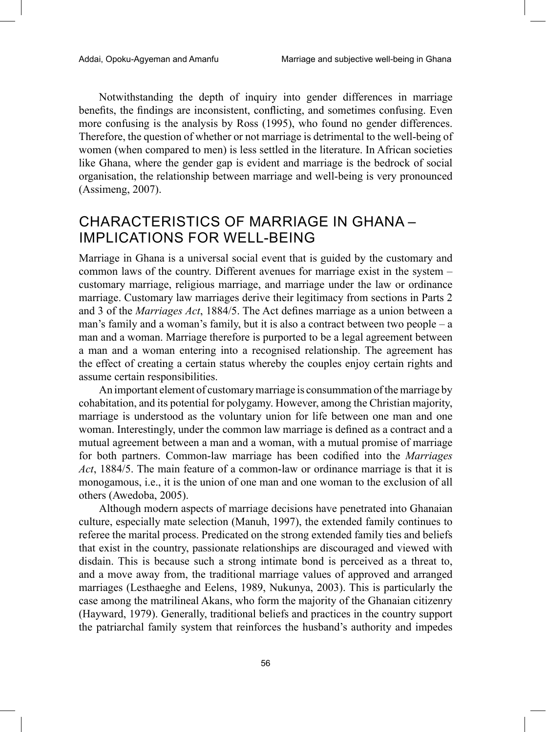Notwithstanding the depth of inquiry into gender differences in marriage benefits, the findings are inconsistent, conflicting, and sometimes confusing. Even more confusing is the analysis by Ross (1995), who found no gender differences. Therefore, the question of whether or not marriage is detrimental to the well-being of women (when compared to men) is less settled in the literature. In African societies like Ghana, where the gender gap is evident and marriage is the bedrock of social organisation, the relationship between marriage and well-being is very pronounced (Assimeng, 2007).

## CHARACTERISTICS OF MARRIAGE IN GHANA – IMPLICATIONS FOR WELL-BEING

Marriage in Ghana is a universal social event that is guided by the customary and common laws of the country. Different avenues for marriage exist in the system – customary marriage, religious marriage, and marriage under the law or ordinance marriage. Customary law marriages derive their legitimacy from sections in Parts 2 and 3 of the *Marriages Act*, 1884/5. The Act defines marriage as a union between a man's family and a woman's family, but it is also a contract between two people – a man and a woman. Marriage therefore is purported to be a legal agreement between a man and a woman entering into a recognised relationship. The agreement has the effect of creating a certain status whereby the couples enjoy certain rights and assume certain responsibilities.

An important element of customary marriage is consummation of the marriage by cohabitation, and its potential for polygamy. However, among the Christian majority, marriage is understood as the voluntary union for life between one man and one woman. Interestingly, under the common law marriage is defined as a contract and a mutual agreement between a man and a woman, with a mutual promise of marriage for both partners. Common-law marriage has been codified into the *Marriages Act*, 1884/5. The main feature of a common-law or ordinance marriage is that it is monogamous, i.e., it is the union of one man and one woman to the exclusion of all others (Awedoba, 2005).

Although modern aspects of marriage decisions have penetrated into Ghanaian culture, especially mate selection (Manuh, 1997), the extended family continues to referee the marital process. Predicated on the strong extended family ties and beliefs that exist in the country, passionate relationships are discouraged and viewed with disdain. This is because such a strong intimate bond is perceived as a threat to, and a move away from, the traditional marriage values of approved and arranged marriages (Lesthaeghe and Eelens, 1989, Nukunya, 2003). This is particularly the case among the matrilineal Akans, who form the majority of the Ghanaian citizenry (Hayward, 1979). Generally, traditional beliefs and practices in the country support the patriarchal family system that reinforces the husband's authority and impedes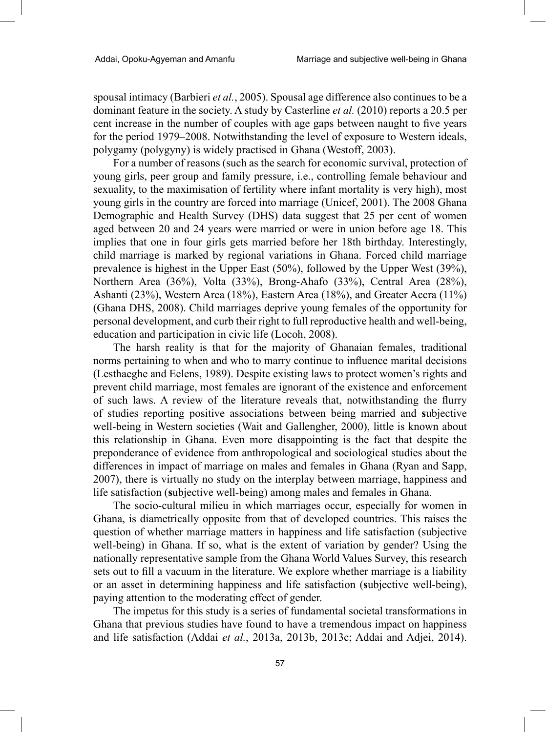spousal intimacy (Barbieri *et al.*, 2005). Spousal age difference also continues to be a dominant feature in the society. A study by Casterline *et al.* (2010) reports a 20.5 per cent increase in the number of couples with age gaps between naught to five years for the period 1979–2008. Notwithstanding the level of exposure to Western ideals, polygamy (polygyny) is widely practised in Ghana (Westoff, 2003).

For a number of reasons (such as the search for economic survival, protection of young girls, peer group and family pressure, i.e., controlling female behaviour and sexuality, to the maximisation of fertility where infant mortality is very high), most young girls in the country are forced into marriage (Unicef, 2001). The 2008 Ghana Demographic and Health Survey (DHS) data suggest that 25 per cent of women aged between 20 and 24 years were married or were in union before age 18. This implies that one in four girls gets married before her 18th birthday. Interestingly, child marriage is marked by regional variations in Ghana. Forced child marriage prevalence is highest in the Upper East (50%), followed by the Upper West (39%), Northern Area (36%), Volta (33%), Brong-Ahafo (33%), Central Area (28%), Ashanti (23%), Western Area (18%), Eastern Area (18%), and Greater Accra (11%) (Ghana DHS, 2008). Child marriages deprive young females of the opportunity for personal development, and curb their right to full reproductive health and well-being, education and participation in civic life (Locoh, 2008).

The harsh reality is that for the majority of Ghanaian females, traditional norms pertaining to when and who to marry continue to influence marital decisions (Lesthaeghe and Eelens, 1989). Despite existing laws to protect women's rights and prevent child marriage, most females are ignorant of the existence and enforcement of such laws. A review of the literature reveals that, notwithstanding the flurry of studies reporting positive associations between being married and **s**ubjective well-being in Western societies (Wait and Gallengher, 2000), little is known about this relationship in Ghana. Even more disappointing is the fact that despite the preponderance of evidence from anthropological and sociological studies about the differences in impact of marriage on males and females in Ghana (Ryan and Sapp, 2007), there is virtually no study on the interplay between marriage, happiness and life satisfaction (**s**ubjective well-being) among males and females in Ghana.

The socio-cultural milieu in which marriages occur, especially for women in Ghana, is diametrically opposite from that of developed countries. This raises the question of whether marriage matters in happiness and life satisfaction (subjective well-being) in Ghana. If so, what is the extent of variation by gender? Using the nationally representative sample from the Ghana World Values Survey, this research sets out to fill a vacuum in the literature. We explore whether marriage is a liability or an asset in determining happiness and life satisfaction (**s**ubjective well-being), paying attention to the moderating effect of gender.

The impetus for this study is a series of fundamental societal transformations in Ghana that previous studies have found to have a tremendous impact on happiness and life satisfaction (Addai *et al.*, 2013a, 2013b, 2013c; Addai and Adjei, 2014).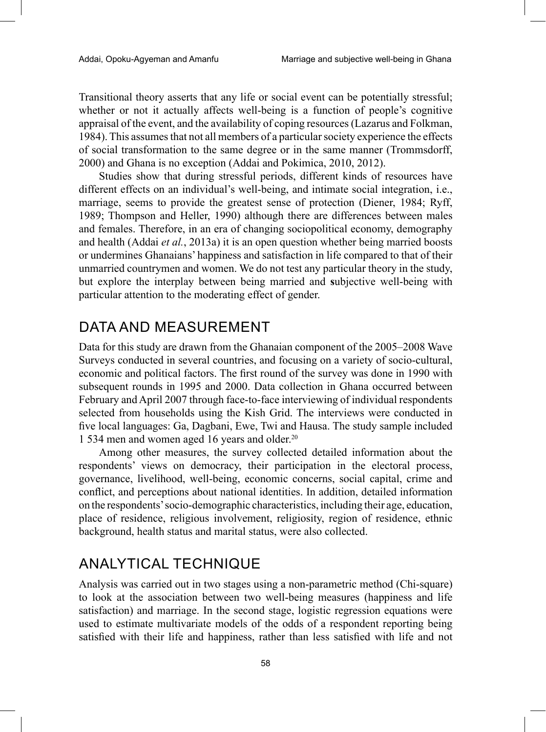Transitional theory asserts that any life or social event can be potentially stressful; whether or not it actually affects well-being is a function of people's cognitive appraisal of the event, and the availability of coping resources (Lazarus and Folkman, 1984). This assumes that not all members of a particular society experience the effects of social transformation to the same degree or in the same manner (Trommsdorff, 2000) and Ghana is no exception (Addai and Pokimica, 2010, 2012).

Studies show that during stressful periods, different kinds of resources have different effects on an individual's well-being, and intimate social integration, i.e., marriage, seems to provide the greatest sense of protection (Diener, 1984; Ryff, 1989; Thompson and Heller, 1990) although there are differences between males and females. Therefore, in an era of changing sociopolitical economy, demography and health (Addai *et al.*, 2013a) it is an open question whether being married boosts or undermines Ghanaians' happiness and satisfaction in life compared to that of their unmarried countrymen and women. We do not test any particular theory in the study, but explore the interplay between being married and **s**ubjective well-being with particular attention to the moderating effect of gender.

# DATA AND MEASUREMENT

Data for this study are drawn from the Ghanaian component of the 2005–2008 Wave Surveys conducted in several countries, and focusing on a variety of socio-cultural, economic and political factors. The first round of the survey was done in 1990 with subsequent rounds in 1995 and 2000. Data collection in Ghana occurred between February and April 2007 through face-to-face interviewing of individual respondents selected from households using the Kish Grid. The interviews were conducted in five local languages: Ga, Dagbani, Ewe, Twi and Hausa. The study sample included 1 534 men and women aged 16 years and older.20

Among other measures, the survey collected detailed information about the respondents' views on democracy, their participation in the electoral process, governance, livelihood, well-being, economic concerns, social capital, crime and conflict, and perceptions about national identities. In addition, detailed information on the respondents' socio-demographic characteristics, including their age, education, place of residence, religious involvement, religiosity, region of residence, ethnic background, health status and marital status, were also collected.

# ANALYTICAL TECHNIQUE

Analysis was carried out in two stages using a non-parametric method (Chi-square) to look at the association between two well-being measures (happiness and life satisfaction) and marriage. In the second stage, logistic regression equations were used to estimate multivariate models of the odds of a respondent reporting being satisfied with their life and happiness, rather than less satisfied with life and not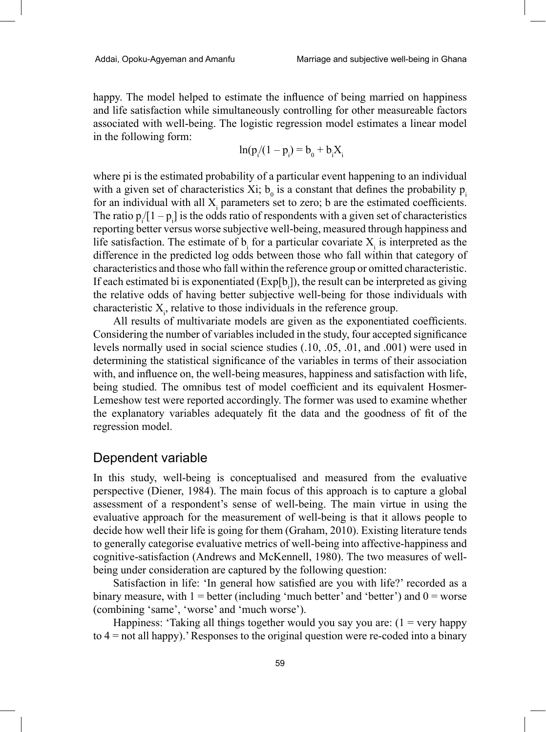happy. The model helped to estimate the influence of being married on happiness and life satisfaction while simultaneously controlling for other measureable factors associated with well-being. The logistic regression model estimates a linear model in the following form:

$$
\ln(p_i/(1-p_i) = b_0 + b_i X_i
$$

where pi is the estimated probability of a particular event happening to an individual with a given set of characteristics Xi;  $b_0$  is a constant that defines the probability  $p_i$ for an individual with all  $X_i$  parameters set to zero; b are the estimated coefficients. The ratio  $p_i/[1-p_i]$  is the odds ratio of respondents with a given set of characteristics reporting better versus worse subjective well-being, measured through happiness and life satisfaction. The estimate of  $b_i$  for a particular covariate  $X_i$  is interpreted as the difference in the predicted log odds between those who fall within that category of characteristics and those who fall within the reference group or omitted characteristic. If each estimated bi is exponentiated  $(Exp[b_i])$ , the result can be interpreted as giving the relative odds of having better subjective well-being for those individuals with characteristic  $X_i$ , relative to those individuals in the reference group.

All results of multivariate models are given as the exponentiated coefficients. Considering the number of variables included in the study, four accepted significance levels normally used in social science studies (.10, .05, .01, and .001) were used in determining the statistical significance of the variables in terms of their association with, and influence on, the well-being measures, happiness and satisfaction with life, being studied. The omnibus test of model coefficient and its equivalent Hosmer-Lemeshow test were reported accordingly. The former was used to examine whether the explanatory variables adequately fit the data and the goodness of fit of the regression model.

#### Dependent variable

In this study, well-being is conceptualised and measured from the evaluative perspective (Diener, 1984). The main focus of this approach is to capture a global assessment of a respondent's sense of well-being. The main virtue in using the evaluative approach for the measurement of well-being is that it allows people to decide how well their life is going for them (Graham, 2010). Existing literature tends to generally categorise evaluative metrics of well-being into affective-happiness and cognitive-satisfaction (Andrews and McKennell, 1980). The two measures of wellbeing under consideration are captured by the following question:

Satisfaction in life: 'In general how satisfied are you with life?' recorded as a binary measure, with  $1 =$  better (including 'much better' and 'better') and  $0 =$  worse (combining 'same', 'worse' and 'much worse').

Happiness: 'Taking all things together would you say you are:  $(1 = \text{very happy})$ to 4 = not all happy).' Responses to the original question were re-coded into a binary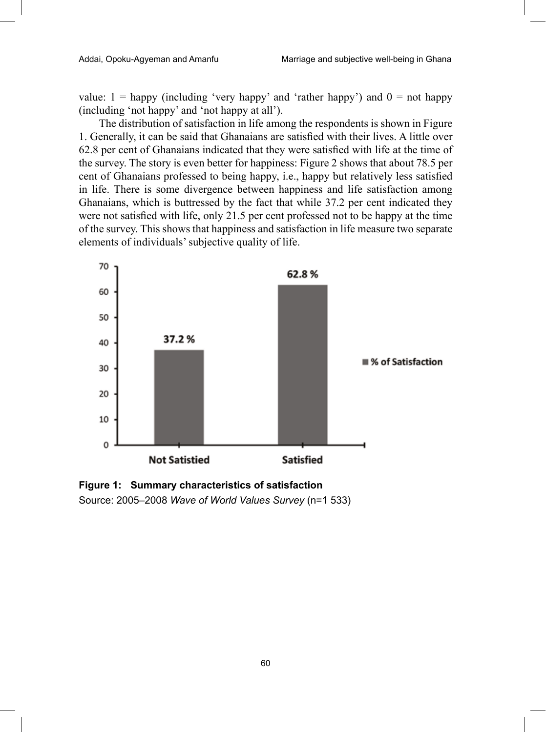value:  $1 =$  happy (including 'very happy' and 'rather happy') and  $0 =$  not happy (including 'not happy' and 'not happy at all').

The distribution of satisfaction in life among the respondents is shown in Figure 1. Generally, it can be said that Ghanaians are satisfied with their lives. A little over 62.8 per cent of Ghanaians indicated that they were satisfied with life at the time of the survey. The story is even better for happiness: Figure 2 shows that about 78.5 per cent of Ghanaians professed to being happy, i.e., happy but relatively less satisfied in life. There is some divergence between happiness and life satisfaction among Ghanaians, which is buttressed by the fact that while 37.2 per cent indicated they were not satisfied with life, only 21.5 per cent professed not to be happy at the time of the survey. This shows that happiness and satisfaction in life measure two separate elements of individuals' subjective quality of life.



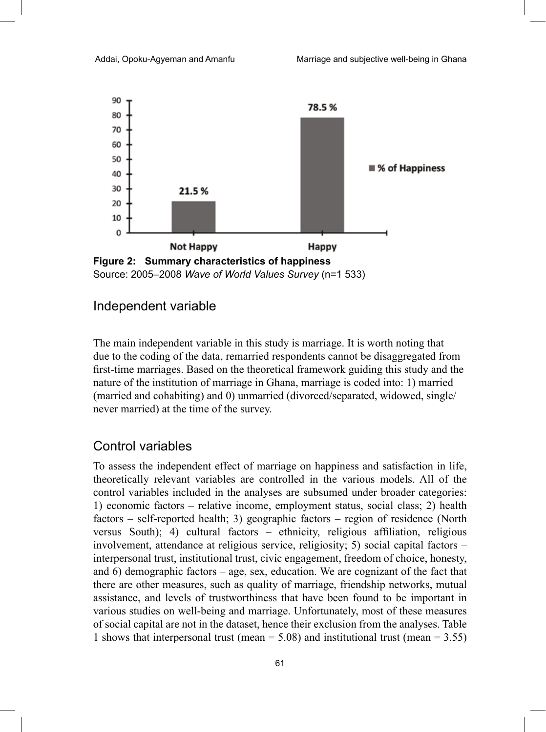

#### Independent variable

The main independent variable in this study is marriage. It is worth noting that due to the coding of the data, remarried respondents cannot be disaggregated from first-time marriages. Based on the theoretical framework guiding this study and the nature of the institution of marriage in Ghana, marriage is coded into: 1) married (married and cohabiting) and 0) unmarried (divorced/separated, widowed, single/ never married) at the time of the survey.

### Control variables

To assess the independent effect of marriage on happiness and satisfaction in life, theoretically relevant variables are controlled in the various models. All of the control variables included in the analyses are subsumed under broader categories: 1) economic factors – relative income, employment status, social class; 2) health factors – self-reported health; 3) geographic factors – region of residence (North versus South); 4) cultural factors – ethnicity, religious affiliation, religious involvement, attendance at religious service, religiosity; 5) social capital factors – interpersonal trust, institutional trust, civic engagement, freedom of choice, honesty, and 6) demographic factors – age, sex, education. We are cognizant of the fact that there are other measures, such as quality of marriage, friendship networks, mutual assistance, and levels of trustworthiness that have been found to be important in various studies on well-being and marriage. Unfortunately, most of these measures of social capital are not in the dataset, hence their exclusion from the analyses. Table 1 shows that interpersonal trust (mean  $= 5.08$ ) and institutional trust (mean  $= 3.55$ )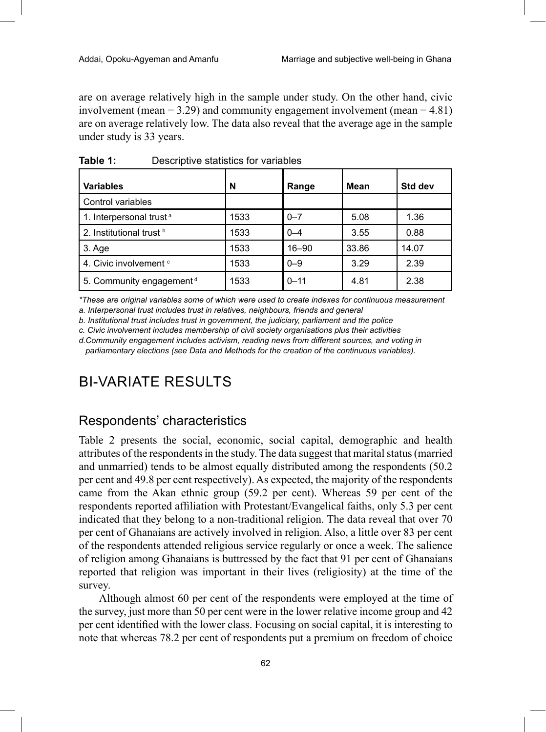are on average relatively high in the sample under study. On the other hand, civic involvement (mean  $= 3.29$ ) and community engagement involvement (mean  $= 4.81$ ) are on average relatively low. The data also reveal that the average age in the sample under study is 33 years.

| <b>Variables</b>                     | N    | Range     | Mean  | Std dev |
|--------------------------------------|------|-----------|-------|---------|
| Control variables                    |      |           |       |         |
| 1. Interpersonal trust <sup>a</sup>  | 1533 | $0 - 7$   | 5.08  | 1.36    |
| 2. Institutional trust b             | 1533 | $0 - 4$   | 3.55  | 0.88    |
| 3. Age                               | 1533 | $16 - 90$ | 33.86 | 14.07   |
| 4. Civic involvement <sup>c</sup>    | 1533 | $0 - 9$   | 3.29  | 2.39    |
| 5. Community engagement <sup>d</sup> | 1533 | $0 - 11$  | 4.81  | 2.38    |

**Table 1:** Descriptive statistics for variables

*\*These are original variables some of which were used to create indexes for continuous measurement*

*a. Interpersonal trust includes trust in relatives, neighbours, friends and general*

*b. Institutional trust includes trust in government, the judiciary, parliament and the police* 

*c. Civic involvement includes membership of civil society organisations plus their activities*

*d.Community engagement includes activism, reading news from different sources, and voting in parliamentary elections (see Data and Methods for the creation of the continuous variables).*

# BI-VARIATE RESULTS

## Respondents' characteristics

Table 2 presents the social, economic, social capital, demographic and health attributes of the respondents in the study. The data suggest that marital status (married and unmarried) tends to be almost equally distributed among the respondents (50.2 per cent and 49.8 per cent respectively). As expected, the majority of the respondents came from the Akan ethnic group (59.2 per cent). Whereas 59 per cent of the respondents reported affiliation with Protestant/Evangelical faiths, only 5.3 per cent indicated that they belong to a non-traditional religion. The data reveal that over 70 per cent of Ghanaians are actively involved in religion. Also, a little over 83 per cent of the respondents attended religious service regularly or once a week. The salience of religion among Ghanaians is buttressed by the fact that 91 per cent of Ghanaians reported that religion was important in their lives (religiosity) at the time of the survey.

Although almost 60 per cent of the respondents were employed at the time of the survey, just more than 50 per cent were in the lower relative income group and 42 per cent identified with the lower class. Focusing on social capital, it is interesting to note that whereas 78.2 per cent of respondents put a premium on freedom of choice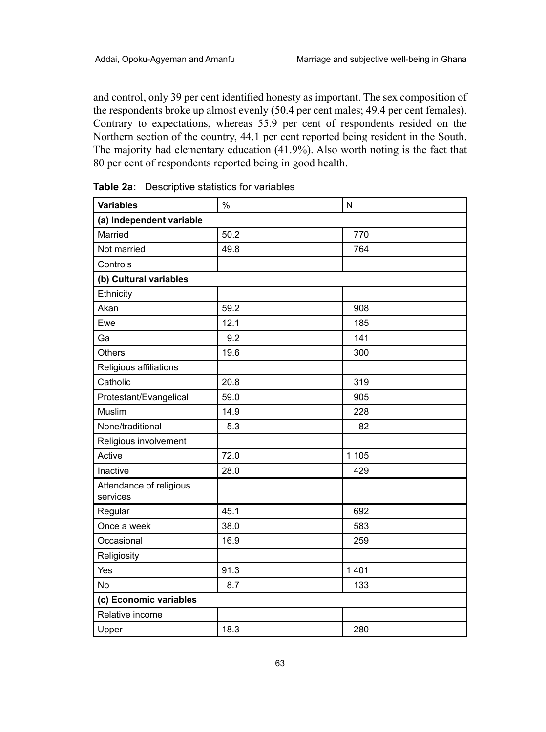and control, only 39 per cent identified honesty as important. The sex composition of the respondents broke up almost evenly (50.4 per cent males; 49.4 per cent females). Contrary to expectations, whereas 55.9 per cent of respondents resided on the Northern section of the country, 44.1 per cent reported being resident in the South. The majority had elementary education (41.9%). Also worth noting is the fact that 80 per cent of respondents reported being in good health.

| <b>Variables</b>                    | $\frac{0}{0}$ | N       |  |  |  |  |
|-------------------------------------|---------------|---------|--|--|--|--|
| (a) Independent variable            |               |         |  |  |  |  |
| Married                             | 50.2          | 770     |  |  |  |  |
| Not married                         | 49.8          | 764     |  |  |  |  |
| Controls                            |               |         |  |  |  |  |
| (b) Cultural variables              |               |         |  |  |  |  |
| Ethnicity                           |               |         |  |  |  |  |
| Akan                                | 59.2          | 908     |  |  |  |  |
| Ewe                                 | 12.1          | 185     |  |  |  |  |
| Ga                                  | 9.2           | 141     |  |  |  |  |
| <b>Others</b>                       | 19.6          | 300     |  |  |  |  |
| Religious affiliations              |               |         |  |  |  |  |
| Catholic                            | 20.8          | 319     |  |  |  |  |
| Protestant/Evangelical              | 59.0          | 905     |  |  |  |  |
| Muslim                              | 14.9          | 228     |  |  |  |  |
| None/traditional                    | 5.3           | 82      |  |  |  |  |
| Religious involvement               |               |         |  |  |  |  |
| Active                              | 72.0          | 1 1 0 5 |  |  |  |  |
| Inactive                            | 28.0          | 429     |  |  |  |  |
| Attendance of religious<br>services |               |         |  |  |  |  |
| Regular                             | 45.1          | 692     |  |  |  |  |
| Once a week                         | 38.0          | 583     |  |  |  |  |
| Occasional                          | 16.9          | 259     |  |  |  |  |
| Religiosity                         |               |         |  |  |  |  |
| Yes                                 | 91.3          | 1 4 0 1 |  |  |  |  |
| No                                  | 8.7           | 133     |  |  |  |  |
| (c) Economic variables              |               |         |  |  |  |  |
| Relative income                     |               |         |  |  |  |  |
| Upper                               | 18.3          | 280     |  |  |  |  |

| <b>Table 2a:</b> Descriptive statistics for variables |  |  |
|-------------------------------------------------------|--|--|
|                                                       |  |  |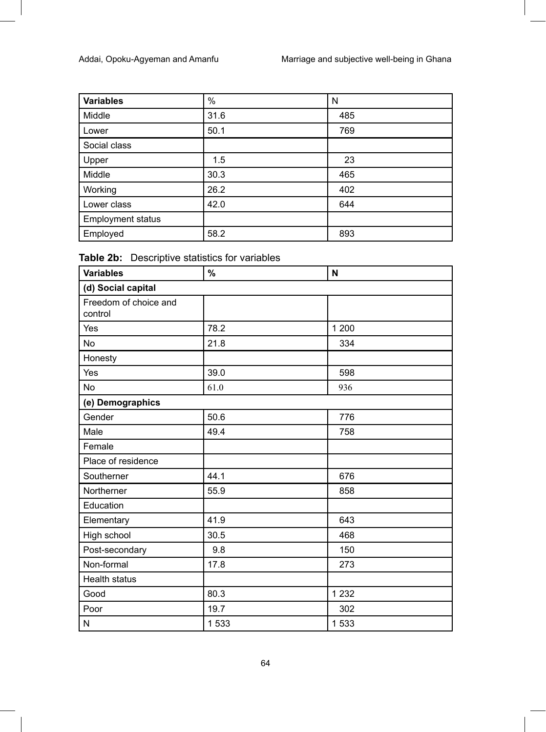| <b>Variables</b>         | $\%$ | N   |
|--------------------------|------|-----|
| Middle                   | 31.6 | 485 |
| Lower                    | 50.1 | 769 |
| Social class             |      |     |
| Upper                    | 1.5  | 23  |
| Middle                   | 30.3 | 465 |
| Working                  | 26.2 | 402 |
| Lower class              | 42.0 | 644 |
| <b>Employment status</b> |      |     |
| Employed                 | 58.2 | 893 |

| Table 2b: Descriptive statistics for variables |
|------------------------------------------------|
|                                                |

| <b>Variables</b>                 | $\%$ | N       |
|----------------------------------|------|---------|
| (d) Social capital               |      |         |
| Freedom of choice and<br>control |      |         |
| Yes                              | 78.2 | 1 200   |
| No                               | 21.8 | 334     |
| Honesty                          |      |         |
| Yes                              | 39.0 | 598     |
| <b>No</b>                        | 61.0 | 936     |
| (e) Demographics                 |      |         |
| Gender                           | 50.6 | 776     |
| Male                             | 49.4 | 758     |
| Female                           |      |         |
| Place of residence               |      |         |
| Southerner                       | 44.1 | 676     |
| Northerner                       | 55.9 | 858     |
| Education                        |      |         |
| Elementary                       | 41.9 | 643     |
| High school                      | 30.5 | 468     |
| Post-secondary                   | 9.8  | 150     |
| Non-formal                       | 17.8 | 273     |
| <b>Health status</b>             |      |         |
| Good                             | 80.3 | 1 2 3 2 |
| Poor                             | 19.7 | 302     |
| N                                | 1533 | 1533    |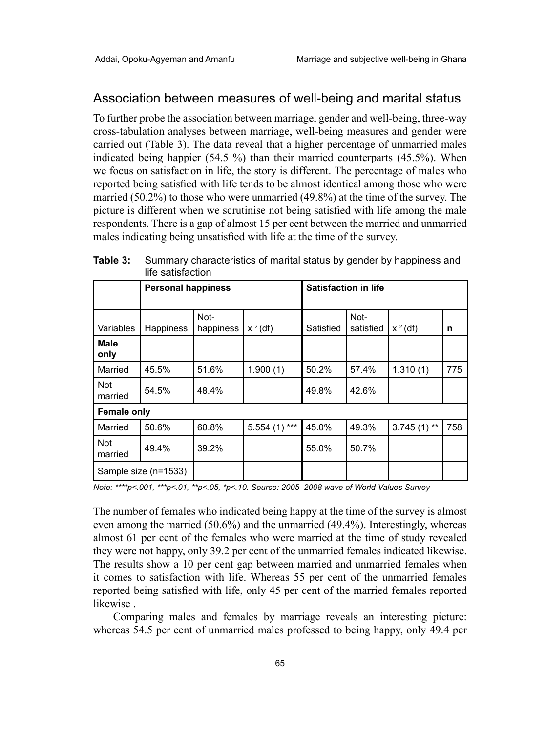### Association between measures of well-being and marital status

To further probe the association between marriage, gender and well-being, three-way cross-tabulation analyses between marriage, well-being measures and gender were carried out (Table 3). The data reveal that a higher percentage of unmarried males indicated being happier (54.5 %) than their married counterparts (45.5%). When we focus on satisfaction in life, the story is different. The percentage of males who reported being satisfied with life tends to be almost identical among those who were married (50.2%) to those who were unmarried (49.8%) at the time of the survey. The picture is different when we scrutinise not being satisfied with life among the male respondents. There is a gap of almost 15 per cent between the married and unmarried males indicating being unsatisfied with life at the time of the survey.

|                       | <b>Personal happiness</b> |                   |                | <b>Satisfaction in life</b> |                   |               |     |
|-----------------------|---------------------------|-------------------|----------------|-----------------------------|-------------------|---------------|-----|
|                       |                           |                   |                |                             |                   |               |     |
| Variables             | Happiness                 | Not-<br>happiness | $x^2$ (df)     | Satisfied                   | Not-<br>satisfied | $x^2$ (df)    | n   |
| Male<br>only          |                           |                   |                |                             |                   |               |     |
| Married               | 45.5%                     | 51.6%             | 1.900(1)       | 50.2%                       | 57.4%             | 1.310(1)      | 775 |
| Not<br>married        | 54.5%                     | 48.4%             |                | 49.8%                       | 42.6%             |               |     |
| Female only           |                           |                   |                |                             |                   |               |     |
| Married               | 50.6%                     | 60.8%             | $5.554(1)$ *** | 45.0%                       | 49.3%             | $3.745(1)$ ** | 758 |
| <b>Not</b><br>married | 49.4%                     | 39.2%             |                | 55.0%                       | 50.7%             |               |     |
|                       | Sample size (n=1533)      |                   |                |                             |                   |               |     |

**Table 3:** Summary characteristics of marital status by gender by happiness and life estisfaction

*Note: \*\*\*\*p<.001, \*\*\*p<.01, \*\*p<.05, \*p<.10. Source: 2005–2008 wave of World Values Survey*

The number of females who indicated being happy at the time of the survey is almost even among the married (50.6%) and the unmarried (49.4%). Interestingly, whereas almost 61 per cent of the females who were married at the time of study revealed they were not happy, only 39.2 per cent of the unmarried females indicated likewise. The results show a 10 per cent gap between married and unmarried females when it comes to satisfaction with life. Whereas 55 per cent of the unmarried females reported being satisfied with life, only 45 per cent of the married females reported likewise .

Comparing males and females by marriage reveals an interesting picture: whereas 54.5 per cent of unmarried males professed to being happy, only 49.4 per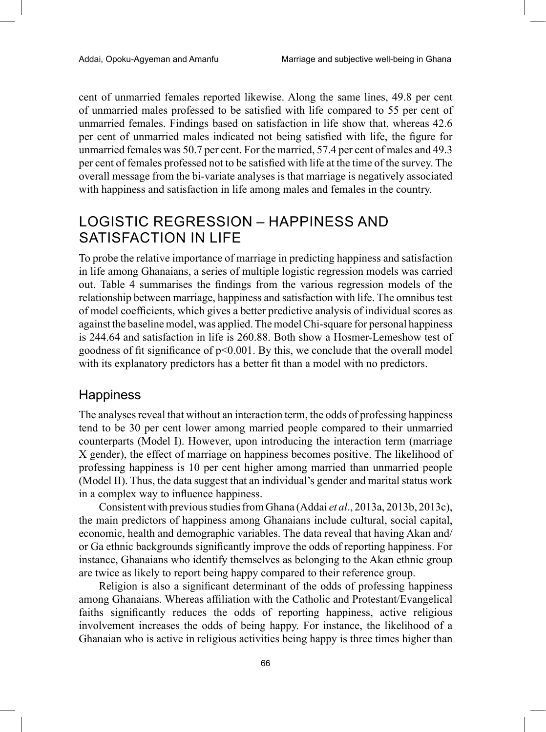cent of unmarried females reported likewise. Along the same lines, 49.8 per cent of unmarried males professed to be satisfied with life compared to 55 per cent of unmarried females. Findings based on satisfaction in life show that, whereas 42.6 per cent of unmarried males indicated not being satisfied with life, the figure for unmarried females was 50.7 per cent. For the married, 57.4 per cent of males and 49.3 per cent of females professed not to be satisfied with life at the time of the survey. The overall message from the bi-variate analyses is that marriage is negatively associated with happiness and satisfaction in life among males and females in the country.

# LOGISTIC REGRESSION – HAPPINESS AND SATISFACTION IN LIFE

To probe the relative importance of marriage in predicting happiness and satisfaction in life among Ghanaians, a series of multiple logistic regression models was carried out. Table 4 summarises the findings from the various regression models of the relationship between marriage, happiness and satisfaction with life. The omnibus test of model coefficients, which gives a better predictive analysis of individual scores as against the baseline model, was applied. The model Chi-square for personal happiness is 244.64 and satisfaction in life is 260.88. Both show a Hosmer-Lemeshow test of goodness of fit significance of  $p<0.001$ . By this, we conclude that the overall model with its explanatory predictors has a better fit than a model with no predictors.

### **Happiness**

The analyses reveal that without an interaction term, the odds of professing happiness tend to be 30 per cent lower among married people compared to their unmarried counterparts (Model I). However, upon introducing the interaction term (marriage X gender), the effect of marriage on happiness becomes positive. The likelihood of professing happiness is 10 per cent higher among married than unmarried people (Model II). Thus, the data suggest that an individual's gender and marital status work in a complex way to influence happiness.

Consistent with previous studies from Ghana (Addai *et al*., 2013a, 2013b, 2013c), the main predictors of happiness among Ghanaians include cultural, social capital, economic, health and demographic variables. The data reveal that having Akan and/ or Ga ethnic backgrounds significantly improve the odds of reporting happiness. For instance, Ghanaians who identify themselves as belonging to the Akan ethnic group are twice as likely to report being happy compared to their reference group.

Religion is also a significant determinant of the odds of professing happiness among Ghanaians. Whereas affiliation with the Catholic and Protestant/Evangelical faiths significantly reduces the odds of reporting happiness, active religious involvement increases the odds of being happy. For instance, the likelihood of a Ghanaian who is active in religious activities being happy is three times higher than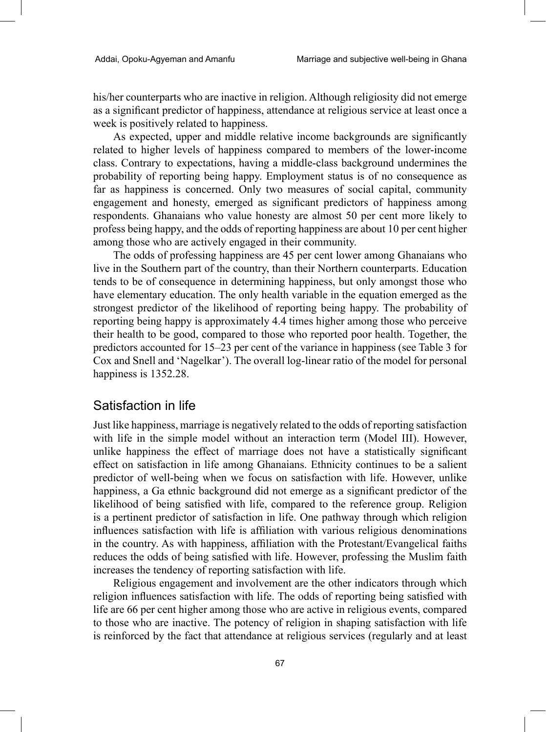his/her counterparts who are inactive in religion. Although religiosity did not emerge as a significant predictor of happiness, attendance at religious service at least once a week is positively related to happiness.

As expected, upper and middle relative income backgrounds are significantly related to higher levels of happiness compared to members of the lower-income class. Contrary to expectations, having a middle-class background undermines the probability of reporting being happy. Employment status is of no consequence as far as happiness is concerned. Only two measures of social capital, community engagement and honesty, emerged as significant predictors of happiness among respondents. Ghanaians who value honesty are almost 50 per cent more likely to profess being happy, and the odds of reporting happiness are about 10 per cent higher among those who are actively engaged in their community.

The odds of professing happiness are 45 per cent lower among Ghanaians who live in the Southern part of the country, than their Northern counterparts. Education tends to be of consequence in determining happiness, but only amongst those who have elementary education. The only health variable in the equation emerged as the strongest predictor of the likelihood of reporting being happy. The probability of reporting being happy is approximately 4.4 times higher among those who perceive their health to be good, compared to those who reported poor health. Together, the predictors accounted for 15–23 per cent of the variance in happiness (see Table 3 for Cox and Snell and 'Nagelkar'). The overall log-linear ratio of the model for personal happiness is 1352.28.

### Satisfaction in life

Just like happiness, marriage is negatively related to the odds of reporting satisfaction with life in the simple model without an interaction term (Model III). However, unlike happiness the effect of marriage does not have a statistically significant effect on satisfaction in life among Ghanaians. Ethnicity continues to be a salient predictor of well-being when we focus on satisfaction with life. However, unlike happiness, a Ga ethnic background did not emerge as a significant predictor of the likelihood of being satisfied with life, compared to the reference group. Religion is a pertinent predictor of satisfaction in life. One pathway through which religion influences satisfaction with life is affiliation with various religious denominations in the country. As with happiness, affiliation with the Protestant/Evangelical faiths reduces the odds of being satisfied with life. However, professing the Muslim faith increases the tendency of reporting satisfaction with life.

Religious engagement and involvement are the other indicators through which religion influences satisfaction with life. The odds of reporting being satisfied with life are 66 per cent higher among those who are active in religious events, compared to those who are inactive. The potency of religion in shaping satisfaction with life is reinforced by the fact that attendance at religious services (regularly and at least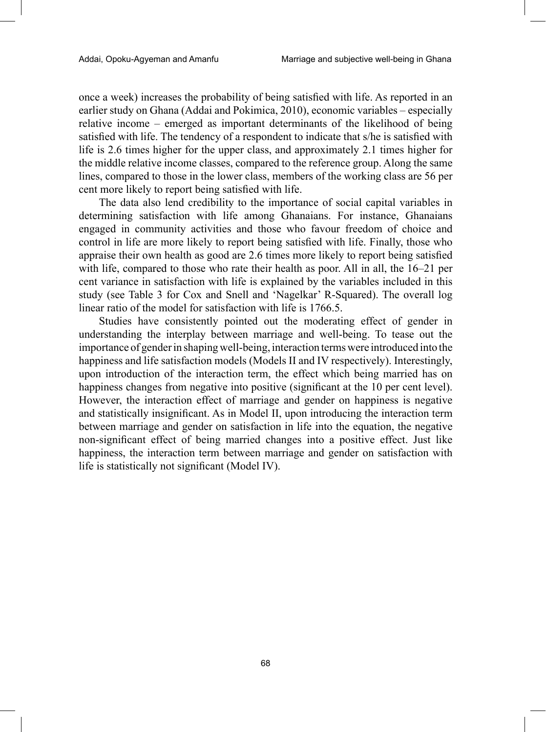once a week) increases the probability of being satisfied with life. As reported in an earlier study on Ghana (Addai and Pokimica, 2010), economic variables – especially relative income – emerged as important determinants of the likelihood of being satisfied with life. The tendency of a respondent to indicate that s/he is satisfied with life is 2.6 times higher for the upper class, and approximately 2.1 times higher for the middle relative income classes, compared to the reference group. Along the same lines, compared to those in the lower class, members of the working class are 56 per cent more likely to report being satisfied with life.

The data also lend credibility to the importance of social capital variables in determining satisfaction with life among Ghanaians. For instance, Ghanaians engaged in community activities and those who favour freedom of choice and control in life are more likely to report being satisfied with life. Finally, those who appraise their own health as good are 2.6 times more likely to report being satisfied with life, compared to those who rate their health as poor. All in all, the 16–21 per cent variance in satisfaction with life is explained by the variables included in this study (see Table 3 for Cox and Snell and 'Nagelkar' R-Squared). The overall log linear ratio of the model for satisfaction with life is 1766.5.

Studies have consistently pointed out the moderating effect of gender in understanding the interplay between marriage and well-being. To tease out the importance of gender in shaping well-being, interaction terms were introduced into the happiness and life satisfaction models (Models II and IV respectively). Interestingly, upon introduction of the interaction term, the effect which being married has on happiness changes from negative into positive (significant at the 10 per cent level). However, the interaction effect of marriage and gender on happiness is negative and statistically insignificant. As in Model II, upon introducing the interaction term between marriage and gender on satisfaction in life into the equation, the negative non-significant effect of being married changes into a positive effect. Just like happiness, the interaction term between marriage and gender on satisfaction with life is statistically not significant (Model IV).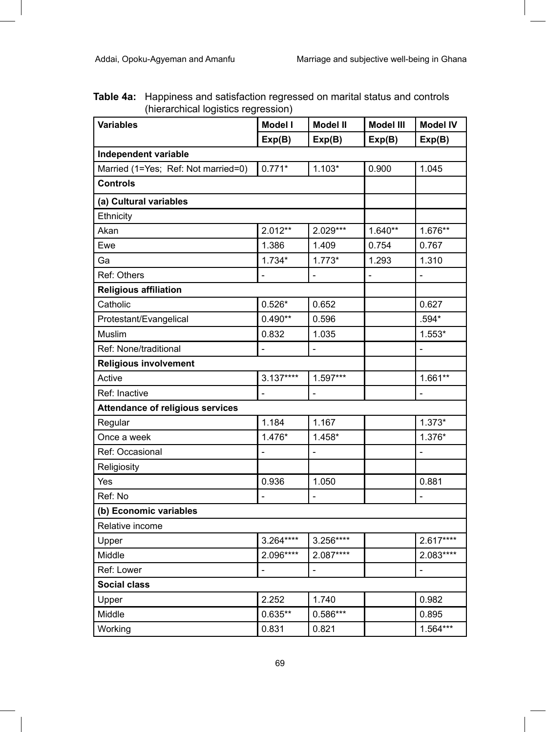**Table 4a:** Happiness and satisfaction regressed on marital status and controls (hierarchical logistics regression)

| <b>Variables</b>                        | <b>Model I</b> | <b>Model II</b> | Model III | <b>Model IV</b> |
|-----------------------------------------|----------------|-----------------|-----------|-----------------|
|                                         | Exp(B)         | Exp(B)          | Exp(B)    | Exp(B)          |
| Independent variable                    |                |                 |           |                 |
| Married (1=Yes; Ref: Not married=0)     | $0.771*$       | $1.103*$        | 0.900     | 1.045           |
| <b>Controls</b>                         |                |                 |           |                 |
| (a) Cultural variables                  |                |                 |           |                 |
| Ethnicity                               |                |                 |           |                 |
| Akan                                    | $2.012**$      | 2.029***        | $1.640**$ | $1.676**$       |
| Ewe                                     | 1.386          | 1.409           | 0.754     | 0.767           |
| Ga                                      | $1.734*$       | $1.773*$        | 1.293     | 1.310           |
| Ref: Others                             |                |                 |           |                 |
| <b>Religious affiliation</b>            |                |                 |           |                 |
| Catholic                                | $0.526*$       | 0.652           |           | 0.627           |
| Protestant/Evangelical                  | $0.490**$      | 0.596           |           | .594*           |
| Muslim                                  | 0.832          | 1.035           |           | $1.553*$        |
| Ref: None/traditional                   | $\overline{a}$ | $\overline{a}$  |           |                 |
| Religious involvement                   |                |                 |           |                 |
| Active                                  | $3.137***$     | 1.597***        |           | $1.661**$       |
| Ref: Inactive                           |                |                 |           |                 |
| <b>Attendance of religious services</b> |                |                 |           |                 |
| Regular                                 | 1.184          | 1.167           |           | $1.373*$        |
| Once a week                             | $1.476*$       | $1.458*$        |           | 1.376*          |
| Ref: Occasional                         | $\overline{a}$ | $\overline{a}$  |           | $\overline{a}$  |
| Religiosity                             |                |                 |           |                 |
| Yes                                     | 0.936          | 1.050           |           | 0.881           |
| Ref: No                                 | $\overline{a}$ | $\overline{a}$  |           |                 |
| (b) Economic variables                  |                |                 |           |                 |
| Relative income                         |                |                 |           |                 |
| Upper                                   | 3.264****      | 3.256****       |           | 2.617****       |
| Middle                                  | 2.096****      | 2.087****       |           | 2.083****       |
| Ref: Lower                              |                |                 |           |                 |
| <b>Social class</b>                     |                |                 |           |                 |
| Upper                                   | 2.252          | 1.740           |           | 0.982           |
| Middle                                  | $0.635**$      | 0.586***        |           | 0.895           |
| Working                                 | 0.831          | 0.821           |           | $1.564***$      |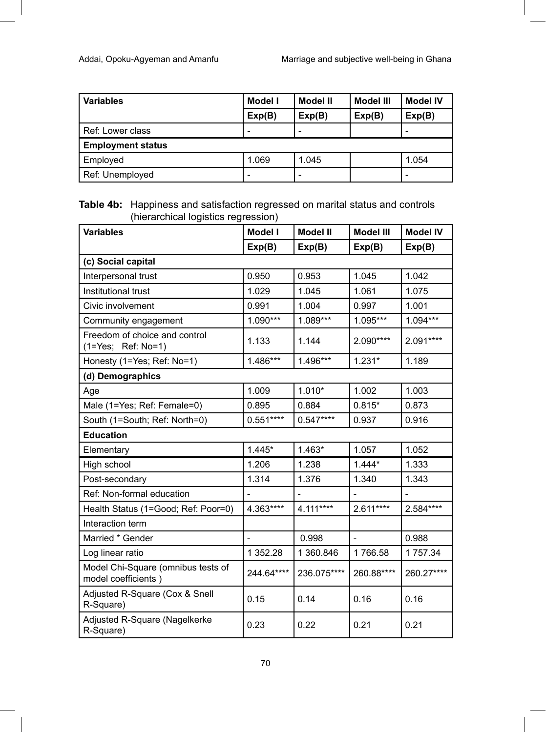| <b>Variables</b>         | Model I | Model II | Model III | <b>Model IV</b>          |
|--------------------------|---------|----------|-----------|--------------------------|
|                          | Exp(B)  | Exp(B)   | Exp(B)    | Exp(B)                   |
| Ref: Lower class         |         |          |           |                          |
| <b>Employment status</b> |         |          |           |                          |
| Employed                 | 1.069   | 1.045    |           | 1.054                    |
| Ref: Unemployed          |         |          |           | $\overline{\phantom{0}}$ |

#### **Table 4b:** Happiness and satisfaction regressed on marital status and controls (hierarchical logistics regression)

| <b>Variables</b>                                          | <b>Model I</b> | <b>Model II</b> | <b>Model III</b> | <b>Model IV</b> |
|-----------------------------------------------------------|----------------|-----------------|------------------|-----------------|
|                                                           | Exp(B)         | Exp(B)          | Exp(B)           | Exp(B)          |
| (c) Social capital                                        |                |                 |                  |                 |
| Interpersonal trust                                       | 0.950          | 0.953           | 1.045            | 1.042           |
| Institutional trust                                       | 1.029          | 1.045           | 1.061            | 1.075           |
| Civic involvement                                         | 0.991          | 1.004           | 0.997            | 1.001           |
| Community engagement                                      | 1.090***       | 1.089***        | 1.095***         | 1.094***        |
| Freedom of choice and control<br>(1=Yes; Ref: No=1)       | 1.133          | 1.144           | 2.090****        | 2.091****       |
| Honesty (1=Yes; Ref: No=1)                                | 1.486***       | 1.496***        | $1.231*$         | 1.189           |
| (d) Demographics                                          |                |                 |                  |                 |
| Age                                                       | 1.009          | $1.010*$        | 1.002            | 1.003           |
| Male (1=Yes; Ref: Female=0)                               | 0.895          | 0.884           | $0.815*$         | 0.873           |
| South (1=South; Ref: North=0)                             | $0.551***$     | $0.547***$      | 0.937            | 0.916           |
| <b>Education</b>                                          |                |                 |                  |                 |
| Elementary                                                | $1.445*$       | $1.463*$        | 1.057            | 1.052           |
| High school                                               | 1.206          | 1.238           | $1.444*$         | 1.333           |
| Post-secondary                                            | 1.314          | 1.376           | 1.340            | 1.343           |
| Ref: Non-formal education                                 |                |                 |                  |                 |
| Health Status (1=Good; Ref: Poor=0)                       | 4.363****      | 4.111****       | 2.611****        | 2.584****       |
| Interaction term                                          |                |                 |                  |                 |
| Married * Gender                                          |                | 0.998           | $\overline{a}$   | 0.988           |
| Log linear ratio                                          | 1 352.28       | 1 360.846       | 1766.58          | 1 757.34        |
| Model Chi-Square (omnibus tests of<br>model coefficients) | 244.64****     | 236.075****     | 260.88****       | 260.27****      |
| Adjusted R-Square (Cox & Snell<br>R-Square)               | 0.15           | 0.14            | 0.16             | 0.16            |
| Adjusted R-Square (Nagelkerke<br>R-Square)                | 0.23           | 0.22            | 0.21             | 0.21            |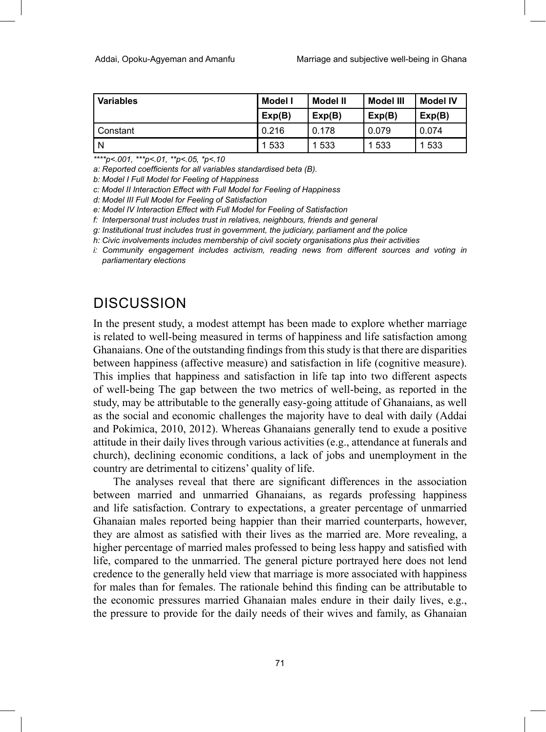| <b>Variables</b> | Model I<br>Model II |         | Model III | <b>Model IV</b> |
|------------------|---------------------|---------|-----------|-----------------|
|                  | Exp(B)              | Exp(B)  | Exp(B)    | Exp(B)          |
| Constant         | 0.216               | 0.178   | 0.079     | 0.074           |
| N                | 1 5 3 3             | 1 5 3 3 | 1533      | 533             |

*\*\*\*\*p<.001, \*\*\*p<.01, \*\*p<.05, \*p<.10*

*a: Reported coefficients for all variables standardised beta (B).*

*b: Model I Full Model for Feeling of Happiness*

*c: Model II Interaction Effect with Full Model for Feeling of Happiness*

*d: Model III Full Model for Feeling of Satisfaction*

*e: Model IV Interaction Effect with Full Model for Feeling of Satisfaction*

*f: Interpersonal trust includes trust in relatives, neighbours, friends and general*

*g: Institutional trust includes trust in government, the judiciary, parliament and the police*

*h: Civic involvements includes membership of civil society organisations plus their activities*

*i: Community engagement includes activism, reading news from different sources and voting in parliamentary elections*

## **DISCUSSION**

In the present study, a modest attempt has been made to explore whether marriage is related to well-being measured in terms of happiness and life satisfaction among Ghanaians. One of the outstanding findings from this study is that there are disparities between happiness (affective measure) and satisfaction in life (cognitive measure). This implies that happiness and satisfaction in life tap into two different aspects of well-being The gap between the two metrics of well-being, as reported in the study, may be attributable to the generally easy-going attitude of Ghanaians, as well as the social and economic challenges the majority have to deal with daily (Addai and Pokimica, 2010, 2012). Whereas Ghanaians generally tend to exude a positive attitude in their daily lives through various activities (e.g., attendance at funerals and church), declining economic conditions, a lack of jobs and unemployment in the country are detrimental to citizens' quality of life.

The analyses reveal that there are significant differences in the association between married and unmarried Ghanaians, as regards professing happiness and life satisfaction. Contrary to expectations, a greater percentage of unmarried Ghanaian males reported being happier than their married counterparts, however, they are almost as satisfied with their lives as the married are. More revealing, a higher percentage of married males professed to being less happy and satisfied with life, compared to the unmarried. The general picture portrayed here does not lend credence to the generally held view that marriage is more associated with happiness for males than for females. The rationale behind this finding can be attributable to the economic pressures married Ghanaian males endure in their daily lives, e.g., the pressure to provide for the daily needs of their wives and family, as Ghanaian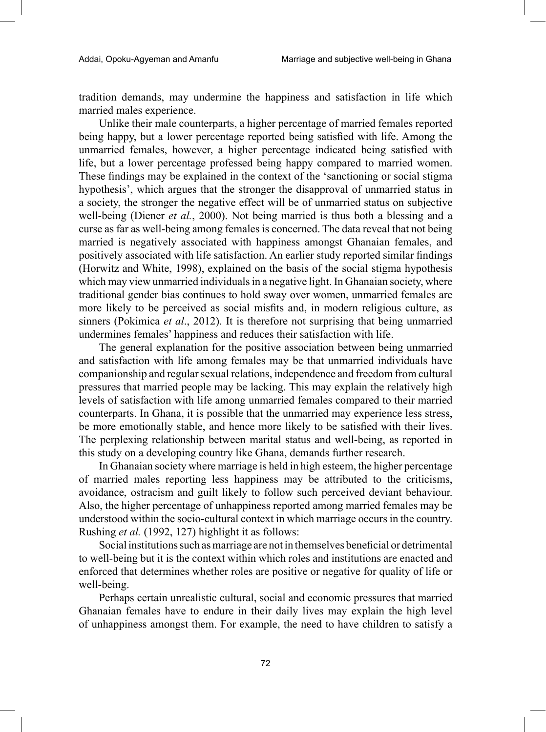tradition demands, may undermine the happiness and satisfaction in life which married males experience.

Unlike their male counterparts, a higher percentage of married females reported being happy, but a lower percentage reported being satisfied with life. Among the unmarried females, however, a higher percentage indicated being satisfied with life, but a lower percentage professed being happy compared to married women. These findings may be explained in the context of the 'sanctioning or social stigma hypothesis', which argues that the stronger the disapproval of unmarried status in a society, the stronger the negative effect will be of unmarried status on subjective well-being (Diener *et al.*, 2000). Not being married is thus both a blessing and a curse as far as well-being among females is concerned. The data reveal that not being married is negatively associated with happiness amongst Ghanaian females, and positively associated with life satisfaction. An earlier study reported similar findings (Horwitz and White, 1998), explained on the basis of the social stigma hypothesis which may view unmarried individuals in a negative light. In Ghanaian society, where traditional gender bias continues to hold sway over women, unmarried females are more likely to be perceived as social misfits and, in modern religious culture, as sinners (Pokimica *et al*., 2012). It is therefore not surprising that being unmarried undermines females' happiness and reduces their satisfaction with life.

The general explanation for the positive association between being unmarried and satisfaction with life among females may be that unmarried individuals have companionship and regular sexual relations, independence and freedom from cultural pressures that married people may be lacking. This may explain the relatively high levels of satisfaction with life among unmarried females compared to their married counterparts. In Ghana, it is possible that the unmarried may experience less stress, be more emotionally stable, and hence more likely to be satisfied with their lives. The perplexing relationship between marital status and well-being, as reported in this study on a developing country like Ghana, demands further research.

In Ghanaian society where marriage is held in high esteem, the higher percentage of married males reporting less happiness may be attributed to the criticisms, avoidance, ostracism and guilt likely to follow such perceived deviant behaviour. Also, the higher percentage of unhappiness reported among married females may be understood within the socio-cultural context in which marriage occurs in the country. Rushing *et al.* (1992, 127) highlight it as follows:

Social institutions such as marriage are not in themselves beneficial or detrimental to well-being but it is the context within which roles and institutions are enacted and enforced that determines whether roles are positive or negative for quality of life or well-being.

Perhaps certain unrealistic cultural, social and economic pressures that married Ghanaian females have to endure in their daily lives may explain the high level of unhappiness amongst them. For example, the need to have children to satisfy a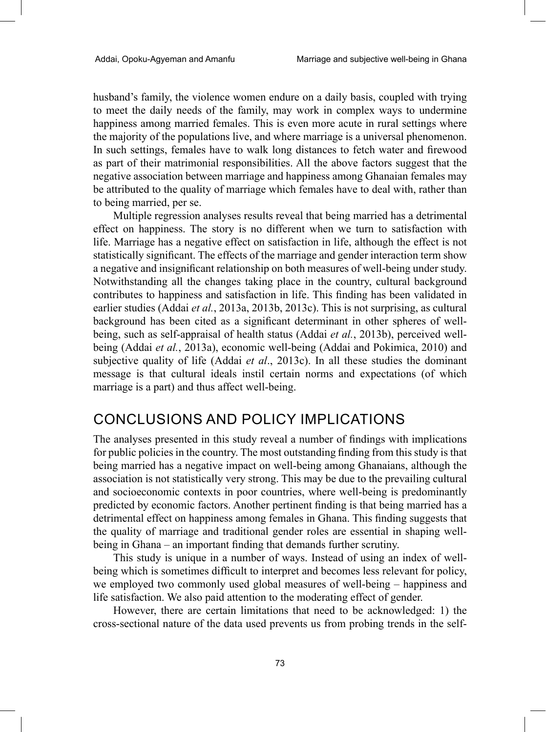husband's family, the violence women endure on a daily basis, coupled with trying to meet the daily needs of the family, may work in complex ways to undermine happiness among married females. This is even more acute in rural settings where the majority of the populations live, and where marriage is a universal phenomenon. In such settings, females have to walk long distances to fetch water and firewood as part of their matrimonial responsibilities. All the above factors suggest that the negative association between marriage and happiness among Ghanaian females may be attributed to the quality of marriage which females have to deal with, rather than to being married, per se.

Multiple regression analyses results reveal that being married has a detrimental effect on happiness. The story is no different when we turn to satisfaction with life. Marriage has a negative effect on satisfaction in life, although the effect is not statistically significant. The effects of the marriage and gender interaction term show a negative and insignificant relationship on both measures of well-being under study. Notwithstanding all the changes taking place in the country, cultural background contributes to happiness and satisfaction in life. This finding has been validated in earlier studies (Addai *et al.*, 2013a, 2013b, 2013c). This is not surprising, as cultural background has been cited as a significant determinant in other spheres of wellbeing, such as self-appraisal of health status (Addai *et al.*, 2013b), perceived wellbeing (Addai *et al.*, 2013a), economic well-being (Addai and Pokimica, 2010) and subjective quality of life (Addai *et al*., 2013c). In all these studies the dominant message is that cultural ideals instil certain norms and expectations (of which marriage is a part) and thus affect well-being.

## CONCLUSIONS AND POLICY IMPLICATIONS

The analyses presented in this study reveal a number of findings with implications for public policies in the country. The most outstanding finding from this study is that being married has a negative impact on well-being among Ghanaians, although the association is not statistically very strong. This may be due to the prevailing cultural and socioeconomic contexts in poor countries, where well-being is predominantly predicted by economic factors. Another pertinent finding is that being married has a detrimental effect on happiness among females in Ghana. This finding suggests that the quality of marriage and traditional gender roles are essential in shaping wellbeing in Ghana – an important finding that demands further scrutiny.

This study is unique in a number of ways. Instead of using an index of wellbeing which is sometimes difficult to interpret and becomes less relevant for policy, we employed two commonly used global measures of well-being – happiness and life satisfaction. We also paid attention to the moderating effect of gender.

However, there are certain limitations that need to be acknowledged: 1) the cross-sectional nature of the data used prevents us from probing trends in the self-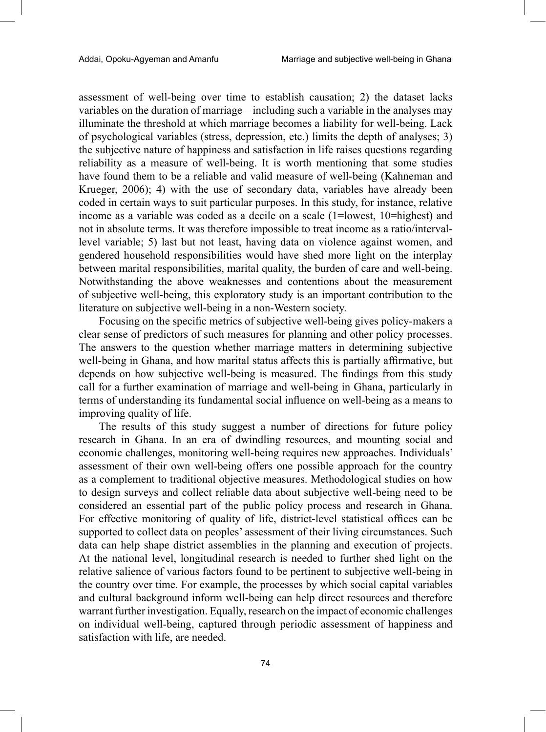assessment of well-being over time to establish causation; 2) the dataset lacks variables on the duration of marriage – including such a variable in the analyses may illuminate the threshold at which marriage becomes a liability for well-being. Lack of psychological variables (stress, depression, etc.) limits the depth of analyses; 3) the subjective nature of happiness and satisfaction in life raises questions regarding reliability as a measure of well-being. It is worth mentioning that some studies have found them to be a reliable and valid measure of well-being (Kahneman and Krueger, 2006); 4) with the use of secondary data, variables have already been coded in certain ways to suit particular purposes. In this study, for instance, relative income as a variable was coded as a decile on a scale (1=lowest, 10=highest) and not in absolute terms. It was therefore impossible to treat income as a ratio/intervallevel variable; 5) last but not least, having data on violence against women, and gendered household responsibilities would have shed more light on the interplay between marital responsibilities, marital quality, the burden of care and well-being. Notwithstanding the above weaknesses and contentions about the measurement of subjective well-being, this exploratory study is an important contribution to the literature on subjective well-being in a non-Western society.

Focusing on the specific metrics of subjective well-being gives policy-makers a clear sense of predictors of such measures for planning and other policy processes. The answers to the question whether marriage matters in determining subjective well-being in Ghana, and how marital status affects this is partially affirmative, but depends on how subjective well-being is measured. The findings from this study call for a further examination of marriage and well-being in Ghana, particularly in terms of understanding its fundamental social influence on well-being as a means to improving quality of life.

The results of this study suggest a number of directions for future policy research in Ghana. In an era of dwindling resources, and mounting social and economic challenges, monitoring well-being requires new approaches. Individuals' assessment of their own well-being offers one possible approach for the country as a complement to traditional objective measures. Methodological studies on how to design surveys and collect reliable data about subjective well-being need to be considered an essential part of the public policy process and research in Ghana. For effective monitoring of quality of life, district-level statistical offices can be supported to collect data on peoples' assessment of their living circumstances. Such data can help shape district assemblies in the planning and execution of projects. At the national level, longitudinal research is needed to further shed light on the relative salience of various factors found to be pertinent to subjective well-being in the country over time. For example, the processes by which social capital variables and cultural background inform well-being can help direct resources and therefore warrant further investigation. Equally, research on the impact of economic challenges on individual well-being, captured through periodic assessment of happiness and satisfaction with life, are needed.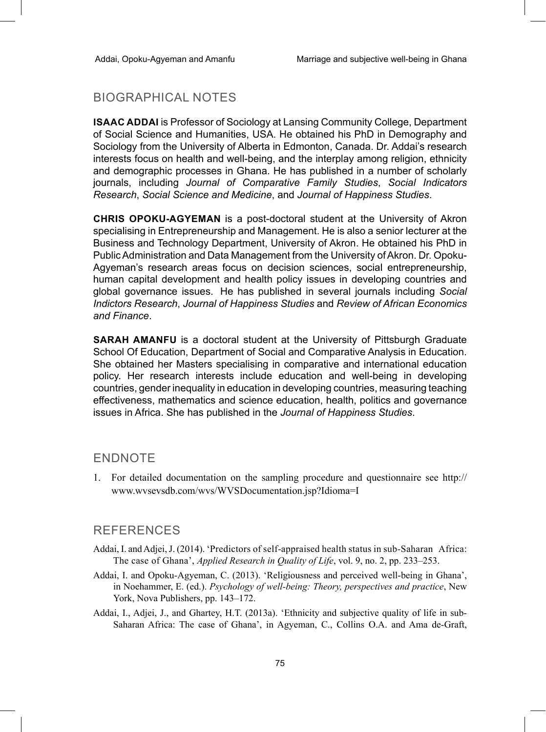### BIOGRAPHICAL NOTES

**Isaac Addai** is Professor of Sociology at Lansing Community College, Department of Social Science and Humanities, USA. He obtained his PhD in Demography and Sociology from the University of Alberta in Edmonton, Canada. Dr. Addai's research interests focus on health and well-being, and the interplay among religion, ethnicity and demographic processes in Ghana. He has published in a number of scholarly journals, including *Journal of Comparative Family Studies*, *Social Indicators Research*, *Social Science and Medicine*, and *Journal of Happiness Studies*.

**Chris Opoku-Agyeman** is a post-doctoral student at the University of Akron specialising in Entrepreneurship and Management. He is also a senior lecturer at the Business and Technology Department, University of Akron. He obtained his PhD in Public Administration and Data Management from the University of Akron. Dr. Opoku-Agyeman's research areas focus on decision sciences, social entrepreneurship, human capital development and health policy issues in developing countries and global governance issues. He has published in several journals including *Social Indictors Research*, *Journal of Happiness Studies* and *Review of African Economics and Finance*.

**Sarah Amanfu** is a doctoral student at the University of Pittsburgh Graduate School Of Education, Department of Social and Comparative Analysis in Education. She obtained her Masters specialising in comparative and international education policy. Her research interests include education and well-being in developing countries, gender inequality in education in developing countries, measuring teaching effectiveness, mathematics and science education, health, politics and governance issues in Africa. She has published in the *Journal of Happiness Studies*.

#### **ENDNOTE**

1. For detailed documentation on the sampling procedure and questionnaire see http:// www.wvsevsdb.com/wvs/WVSDocumentation.jsp?Idioma=I

#### References

- Addai, I. and Adjei, J. (2014). 'Predictors of self-appraised health status in sub-Saharan Africa: The case of Ghana', *Applied Research in Quality of Life*, vol. 9, no. 2, pp. 233–253.
- Addai, I. and Opoku-Agyeman, C. (2013). 'Religiousness and perceived well-being in Ghana', in Noehammer, E. (ed.). *Psychology of well-being: Theory, perspectives and practice*, New York, Nova Publishers, pp. 143–172.
- Addai, I., Adjei, J., and Ghartey, H.T. (2013a). 'Ethnicity and subjective quality of life in sub-Saharan Africa: The case of Ghana', in Agyeman, C., Collins O.A. and Ama de-Graft,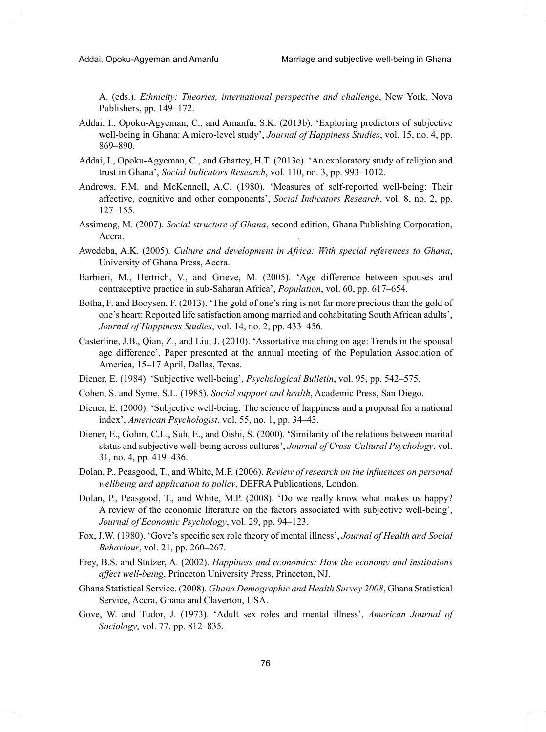A. (eds.). *Ethnicity: Theories, international perspective and challenge*, New York, Nova Publishers, pp. 149–172.

- Addai, I., Opoku-Agyeman, C., and Amanfu, S.K. (2013b). 'Exploring predictors of subjective well-being in Ghana: A micro-level study', *Journal of Happiness Studies*, vol. 15, no. 4, pp. 869–890.
- Addai, I., Opoku-Agyeman, C., and Ghartey, H.T. (2013c). 'An exploratory study of religion and trust in Ghana', *Social Indicators Research*, vol. 110, no. 3, pp. 993–1012.
- Andrews, F.M. and McKennell, A.C. (1980). 'Measures of self-reported well-being: Their affective, cognitive and other components', *Social Indicators Research*, vol. 8, no. 2, pp. 127–155.
- Assimeng, M. (2007). *Social structure of Ghana*, second edition, Ghana Publishing Corporation, Accra.
- Awedoba, A.K. (2005). *Culture and development in Africa: With special references to Ghana*, University of Ghana Press, Accra.
- Barbieri, M., Hertrich, V., and Grieve, M. (2005). 'Age difference between spouses and contraceptive practice in sub-Saharan Africa', *Population*, vol. 60, pp. 617–654.
- Botha, F. and Booysen, F. (2013). 'The gold of one's ring is not far more precious than the gold of one's heart: Reported life satisfaction among married and cohabitating South African adults', *Journal of Happiness Studies*, vol. 14, no. 2, pp. 433–456.
- Casterline, J.B., Qian, Z., and Liu, J. (2010). 'Assortative matching on age: Trends in the spousal age difference', Paper presented at the annual meeting of the Population Association of America, 15–17 April, Dallas, Texas.
- Diener, E. (1984). 'Subjective well-being', *Psychological Bulletin*, vol. 95, pp. 542–575.
- Cohen, S. and Syme, S.L. (1985). *Social support and health*, Academic Press, San Diego.
- Diener, E. (2000). 'Subjective well-being: The science of happiness and a proposal for a national index', *American Psychologist*, vol. 55, no. 1, pp. 34–43.
- Diener, E., Gohm, C.L., Suh, E., and Oishi, S. (2000). 'Similarity of the relations between marital status and subjective well-being across cultures', *Journal of Cross-Cultural Psychology*, vol. 31, no. 4, pp. 419–436.
- Dolan, P., Peasgood, T., and White, M.P. (2006). *Review of research on the influences on personal wellbeing and application to policy*, DEFRA Publications, London.
- Dolan, P., Peasgood, T., and White, M.P. (2008). 'Do we really know what makes us happy? A review of the economic literature on the factors associated with subjective well-being', *Journal of Economic Psychology*, vol. 29, pp. 94–123.
- Fox, J.W. (1980). 'Gove's specific sex role theory of mental illness', *Journal of Health and Social Behaviour*, vol. 21, pp. 260–267.
- Frey, B.S. and Stutzer, A. (2002). *Happiness and economics: How the economy and institutions affect well-being*, Princeton University Press, Princeton, NJ.
- Ghana Statistical Service. (2008). *Ghana Demographic and Health Survey 2008*, Ghana Statistical Service, Accra, Ghana and Claverton, USA.
- Gove, W. and Tudor, J. (1973). 'Adult sex roles and mental illness', *American Journal of Sociology*, vol. 77, pp. 812–835.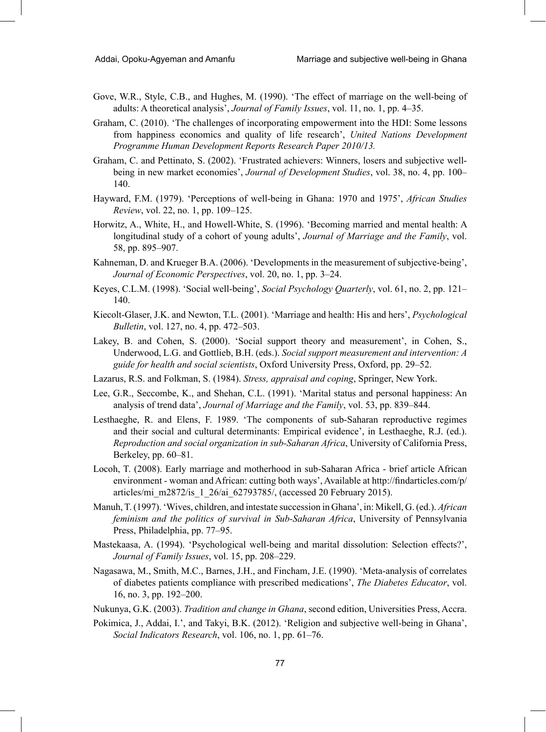- Gove, W.R., Style, C.B., and Hughes, M. (1990). 'The effect of marriage on the well-being of adults: A theoretical analysis', *Journal of Family Issues*, vol. 11, no. 1, pp. 4–35.
- Graham, C. (2010). 'The challenges of incorporating empowerment into the HDI: Some lessons from happiness economics and quality of life research', *United Nations Development Programme Human Development Reports Research Paper 2010/13.*
- Graham, C. and Pettinato, S. (2002). 'Frustrated achievers: Winners, losers and subjective wellbeing in new market economies', *Journal of Development Studies*, vol. 38, no. 4, pp. 100– 140.
- Hayward, F.M. (1979). 'Perceptions of well-being in Ghana: 1970 and 1975', *African Studies Review*, vol. 22, no. 1, pp. 109–125.
- Horwitz, A., White, H., and Howell-White, S. (1996). 'Becoming married and mental health: A longitudinal study of a cohort of young adults', *Journal of Marriage and the Family*, vol. 58, pp. 895–907.
- Kahneman, D. and Krueger B.A. (2006). 'Developments in the measurement of subjective-being', *Journal of Economic Perspectives*, vol. 20, no. 1, pp. 3–24.
- Keyes, C.L.M. (1998). 'Social well-being', *Social Psychology Quarterly*, vol. 61, no. 2, pp. 121– 140.
- Kiecolt-Glaser, J.K. and Newton, T.L. (2001). 'Marriage and health: His and hers', *Psychological Bulletin*, vol. 127, no. 4, pp. 472–503.
- Lakey, B. and Cohen, S. (2000). 'Social support theory and measurement', in Cohen, S., Underwood, L.G. and Gottlieb, B.H. (eds.). *Social support measurement and intervention: A guide for health and social scientists*, Oxford University Press, Oxford, pp. 29–52.
- Lazarus, R.S. and Folkman, S. (1984). *Stress, appraisal and coping*, Springer, New York.
- Lee, G.R., Seccombe, K., and Shehan, C.L. (1991). 'Marital status and personal happiness: An analysis of trend data', *Journal of Marriage and the Family*, vol. 53, pp. 839–844.
- Lesthaeghe, R. and Elens, F. 1989. 'The components of sub-Saharan reproductive regimes and their social and cultural determinants: Empirical evidence', in Lesthaeghe, R.J. (ed.). *Reproduction and social organization in sub-Saharan Africa*, University of California Press, Berkeley, pp. 60–81.
- Locoh, T. (2008). Early marriage and motherhood in sub-Saharan Africa brief article African environment - woman and African: cutting both ways', Available at http://findarticles.com/p/ articles/mi\_m2872/is\_1\_26/ai\_62793785/, (accessed 20 February 2015).
- Manuh, T. (1997). 'Wives, children, and intestate succession in Ghana', in: Mikell, G. (ed.). *African feminism and the politics of survival in Sub-Saharan Africa*, University of Pennsylvania Press, Philadelphia, pp. 77–95.
- Mastekaasa, A. (1994). 'Psychological well-being and marital dissolution: Selection effects?', *Journal of Family Issues*, vol. 15, pp. 208–229.
- Nagasawa, M., Smith, M.C., Barnes, J.H., and Fincham, J.E. (1990). 'Meta-analysis of correlates of diabetes patients compliance with prescribed medications', *The Diabetes Educator*, vol. 16, no. 3, pp. 192–200.
- Nukunya, G.K. (2003). *Tradition and change in Ghana*, second edition, Universities Press, Accra.
- Pokimica, J., Addai, I.', and Takyi, B.K. (2012). 'Religion and subjective well-being in Ghana', *Social Indicators Research*, vol. 106, no. 1, pp. 61–76.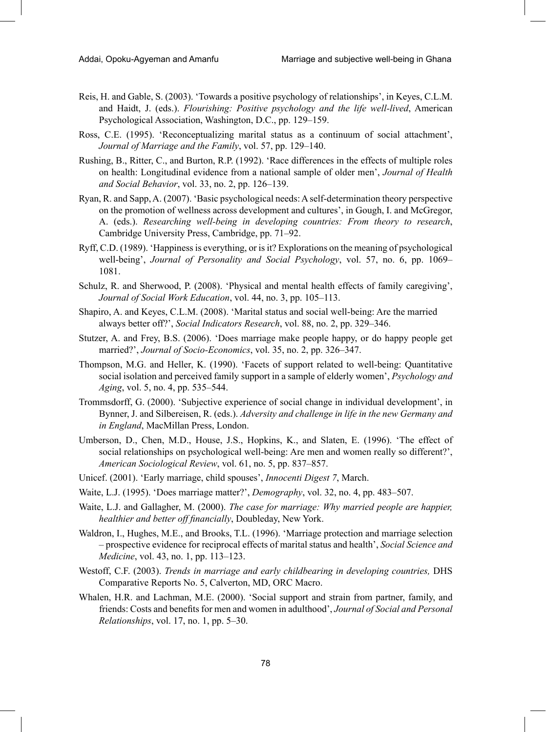- Reis, H. and Gable, S. (2003). 'Towards a positive psychology of relationships', in Keyes, C.L.M. and Haidt, J. (eds.). *Flourishing: Positive psychology and the life well-lived*, American Psychological Association, Washington, D.C., pp. 129–159.
- Ross, C.E. (1995). 'Reconceptualizing marital status as a continuum of social attachment', *Journal of Marriage and the Family*, vol. 57, pp. 129–140.
- Rushing, B., Ritter, C., and Burton, R.P. (1992). 'Race differences in the effects of multiple roles on health: Longitudinal evidence from a national sample of older men', *Journal of Health and Social Behavior*, vol. 33, no. 2, pp. 126–139.
- Ryan, R. and Sapp, A. (2007). 'Basic psychological needs: A self-determination theory perspective on the promotion of wellness across development and cultures', in Gough, I. and McGregor, A. (eds.). *Researching well-being in developing countries: From theory to research*, Cambridge University Press, Cambridge, pp. 71–92.
- Ryff, C.D. (1989). 'Happiness is everything, or is it? Explorations on the meaning of psychological well-being', *Journal of Personality and Social Psychology*, vol. 57, no. 6, pp. 1069– 1081.
- Schulz, R. and Sherwood, P. (2008). 'Physical and mental health effects of family caregiving', *Journal of Social Work Education*, vol. 44, no. 3, pp. 105–113.
- Shapiro, A. and Keyes, C.L.M. (2008). 'Marital status and social well-being: Are the married always better off?', *Social Indicators Research*, vol. 88, no. 2, pp. 329–346.
- Stutzer, A. and Frey, B.S. (2006). 'Does marriage make people happy, or do happy people get married?', *Journal of Socio-Economics*, vol. 35, no. 2, pp. 326–347.
- Thompson, M.G. and Heller, K. (1990). 'Facets of support related to well-being: Quantitative social isolation and perceived family support in a sample of elderly women', *Psychology and Aging*, vol. 5, no. 4, pp. 535–544.
- Trommsdorff, G. (2000). 'Subjective experience of social change in individual development', in Bynner, J. and Silbereisen, R. (eds.). *Adversity and challenge in life in the new Germany and in England*, MacMillan Press, London.
- Umberson, D., Chen, M.D., House, J.S., Hopkins, K., and Slaten, E. (1996). 'The effect of social relationships on psychological well-being: Are men and women really so different?', *American Sociological Review*, vol. 61, no. 5, pp. 837–857.
- Unicef. (2001). 'Early marriage, child spouses', *Innocenti Digest 7*, March.
- Waite, L.J. (1995). 'Does marriage matter?', *Demography*, vol. 32, no. 4, pp. 483–507.
- Waite, L.J. and Gallagher, M. (2000). *The case for marriage: Why married people are happier, healthier and better off financially*, Doubleday, New York.
- Waldron, I., Hughes, M.E., and Brooks, T.L. (1996). 'Marriage protection and marriage selection – prospective evidence for reciprocal effects of marital status and health', *Social Science and Medicine*, vol. 43, no. 1, pp. 113–123.
- Westoff, C.F. (2003). *Trends in marriage and early childbearing in developing countries,* DHS Comparative Reports No. 5, Calverton, MD, ORC Macro.
- Whalen, H.R. and Lachman, M.E. (2000). 'Social support and strain from partner, family, and friends: Costs and benefits for men and women in adulthood', *Journal of Social and Personal Relationships*, vol. 17, no. 1, pp. 5–30.